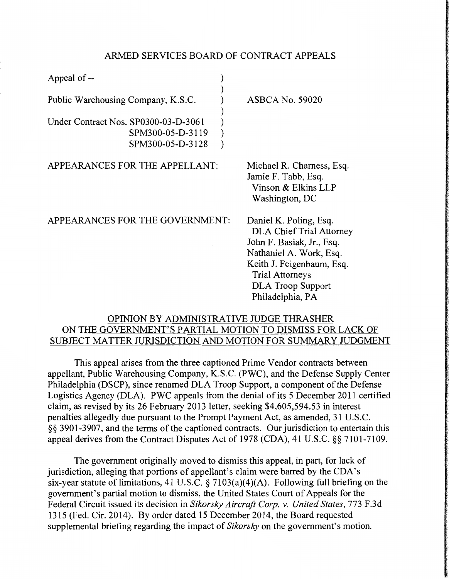## ARMED SERVICES BOARD OF CONTRACT APPEALS

| Appeal of --                                                                 |                                                                                                                                                                                                                          |
|------------------------------------------------------------------------------|--------------------------------------------------------------------------------------------------------------------------------------------------------------------------------------------------------------------------|
| Public Warehousing Company, K.S.C.                                           | <b>ASBCA No. 59020</b>                                                                                                                                                                                                   |
| Under Contract Nos. SP0300-03-D-3061<br>SPM300-05-D-3119<br>SPM300-05-D-3128 |                                                                                                                                                                                                                          |
| APPEARANCES FOR THE APPELLANT:                                               | Michael R. Charness, Esq.<br>Jamie F. Tabb, Esq.<br>Vinson & Elkins LLP<br>Washington, DC                                                                                                                                |
| APPEARANCES FOR THE GOVERNMENT:                                              | Daniel K. Poling, Esq.<br><b>DLA Chief Trial Attorney</b><br>John F. Basiak, Jr., Esq.<br>Nathaniel A. Work, Esq.<br>Keith J. Feigenbaum, Esq.<br><b>Trial Attorneys</b><br><b>DLA Troop Support</b><br>Philadelphia, PA |

# OPINION BY ADMINISTRATIVE JUDGE THRASHER ON THE GOVERNMENT'S PARTIAL MOTION TO DISMISS FOR LACK OF SUBJECT MATTER JURISDICTION AND MOTION FOR SUMMARY JUDGMENT

This appeal arises from the three captioned Prime Vendor contracts between appellant, Public Warehousing Company, K.S.C. (PWC), and the Defense Supply Center Philadelphia (DSCP), since renamed DLA Troop Support, a component of the Defense Logistics Agency (DLA). PWC appeals from the denial of its 5 December 2011 certified claim, as revised by its 26 February 2013 letter, seeking \$4,605,594.53 in interest penalties allegedly due pursuant to the Prompt Payment Act, as amended, 31 U.S.C. §§ 3901-3907, and the terms of the captioned contracts. Our jurisdiction to entertain this appeal derives from the Contract Disputes Act of 1978 (CDA), 41 U.S.C. §§ 7101-7109.

The government originally moved to dismiss this appeal, in part, for lack of jurisdiction, alleging that portions of appellant's claim were barred by the CDA's six-year statute of limitations, 41 U.S.C. § 7103(a)(4)(A). Following full briefing on the government's partial motion to dismiss, the United States Court of Appeals for the Federal Circuit issued its decision in *Sikorsky Aircraft Corp. v. United States,* 773 F.3d 1315 (Fed. Cir. 2014). By order dated 15 December 2014, the Board requested supplemental briefing regarding the impact of *Sikorsky* on the government's motion.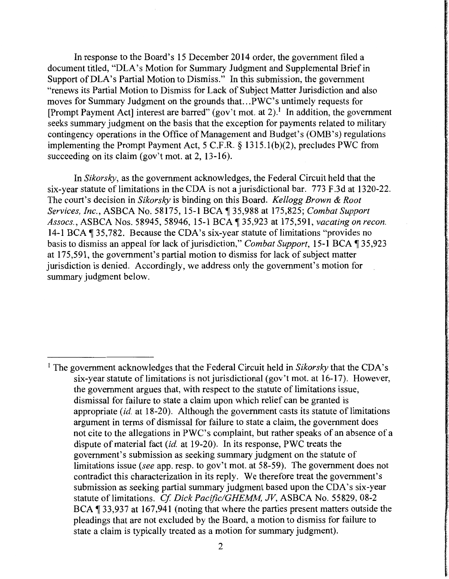In response to the Board's 15 December 2014 order, the government filed a document titled, "DLA's Motion for Summary Judgment and Supplemental Brief in Support of DLA's Partial Motion to Dismiss." In this submission, the government "renews its Partial Motion to Dismiss for Lack of Subject Matter Jurisdiction and also moves for Summary Judgment on the grounds that ... PWC's untimely requests for [Prompt Payment Act] interest are barred" (gov't mot. at 2).<sup>1</sup> In addition, the government seeks summary judgment on the basis that the exception for payments related to military contingency operations in the Office of Management and Budget's (OMB's) regulations implementing the Prompt Payment Act, 5 C.F.R. § 1315. l(b)(2), precludes PWC from succeeding on its claim (gov't mot. at 2, 13-16).

In *Sikorsky,* as the government acknowledges, the Federal Circuit held that the six-year statute of limitations in the CDA is not a jurisdictional bar. 773 F.3d at 1320-22. The court's decision in *Sikorsky* is binding on this Board. *Kellogg Brown* & *Root Services, Inc., ASBCA No. 58175, 15-1 BCA* 135,988 at 175,825; *Combat Support Assocs.,* ASBCA Nos. 58945, 58946, 15-1 BCA ii 35,923 at 175,591, *vacating on recon.*  14-1 BCA 135,782. Because the CDA's six-year statute of limitations "provides no basis to dismiss an appeal for lack of jurisdiction," *Combat Support*, 15-1 BCA 135,923 at 175,591, the government's partial motion to dismiss for lack of subject matter jurisdiction is denied. Accordingly, we address only the government's motion for summary judgment below.

<sup>&</sup>lt;sup>1</sup> The government acknowledges that the Federal Circuit held in *Sikorsky* that the CDA's six-year statute of limitations is not jurisdictional (gov't mot. at 16-17). However, the government argues that, with respect to the statute of limitations issue, dismissal for failure to state a claim upon which relief can be granted is appropriate *(id.* at 18-20). Although the government casts its statute of limitations argument in terms of dismissal for failure to state a claim, the government does not cite to the allegations in PWC's complaint, but rather speaks of an absence of a dispute of material fact *(id.* at 19-20). In its response, PWC treats the government's submission as seeking summary judgment on the statute of limitations issue *(see* app. resp. to gov't mot. at 58-59). The government does not contradict this characterization in its reply. We therefore treat the government's submission as seeking partial summary judgment based upon the CDA's six-year statute of limitations. *Cf Dick Pacific/GHEMM,* JV, ASBCA No. 55829, 08-2 BCA  $\sqrt{ }$  33,937 at 167,941 (noting that where the parties present matters outside the pleadings that are not excluded by the Board, a motion to dismiss for failure to state a claim is typically treated as a motion for summary judgment).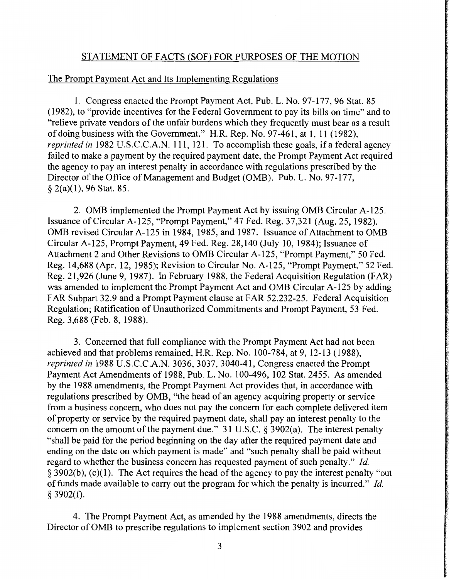## STATEMENT OF FACTS (SOF) FOR PURPOSES OF THE MOTION

### The Prompt Payment Act and Its Implementing Regulations

1. Congress enacted the Prompt Payment Act, Pub. L. No. 97-177, 96 Stat. 85 (1982), to "provide incentives for the Federal Government to pay its bills on time" and to "relieve private vendors of the unfair burdens which they frequently must bear as a result of doing business with the Government." H.R. Rep. No. 97-461, at 1, 11 (1982), *reprinted in* 1982 U.S.C.C.A.N. 111, 121. To accomplish these goals, if a federal agency failed to make a payment by the required payment date, the Prompt Payment Act required the agency to pay an interest penalty in accordance with regulations prescribed by the Director of the Office of Management and Budget (OMB). Pub. L. No. 97-177, § 2(a)(l), 96 Stat. 85.

2. OMB implemented the Prompt Payment Act by issuing OMB Circular A-125. Issuance of Circular A-125, "Prompt Payment," 47 Fed. Reg. 37,321(Aug.25, 1982). OMB revised Circular A-125 in 1984, 1985, and 1987. Issuance of Attachment to OMB Circular A-125, Prompt Payment, 49 Fed. Reg. 28,140 (July 10, 1984); Issuance of Attachment 2 and Other Revisions to OMB Circular A-125, "Prompt Payment," 50 Fed. Reg. 14,688 (Apr. 12, 1985); Revision to Circular No. A-125, "Prompt Payment," 52 Fed. Reg. 21,926 (June 9, 1987). In February 1988, the Federal Acquisition Regulation (FAR) was amended to implement the Prompt Payment Act and OMB Circular A-125 by adding FAR Subpart 32.9 and a Prompt Payment clause at FAR 52.232-25. Federal Acquisition Regulation; Ratification of Unauthorized Commitments and Prompt Payment, 53 Fed. Reg. 3,688 (Feb. 8, 1988).

3. Concerned that full compliance with the Prompt Payment Act had not been achieved and that problems remained, H.R. Rep. No. 100-784, at 9, 12-13 (1988), *reprinted in* 1988 U.S.C.C.A.N. 3036, 3037, 3040-41, Congress enacted the Prompt Payment Act Amendments of 1988, Pub. L. No. 100-496, 102 Stat. 2455. As amended by the 1988 amendments, the Prompt Payment Act provides that, in accordance with regulations prescribed by OMB, "the head of an agency acquiring property or service from a business concern, who does not pay the concern for each complete delivered item of property or service by the required payment date, shall pay an interest penalty to the concern on the amount of the payment due." 31 U.S.C. § 3902(a). The interest penalty "shall be paid for the period beginning on the day after the required payment date and ending on the date on which payment is made" and "such penalty shall be paid without regard to whether the business concern has requested payment of such penalty." *Id.*   $\S$  3902(b), (c)(1). The Act requires the head of the agency to pay the interest penalty "out of funds made available to carry out the program for which the penalty is incurred." *Id.*  § 3902(f).

4. The Prompt Payment Act, as amended by the 1988 amendments, directs the Director of OMB to prescribe regulations to implement section 3902 and provides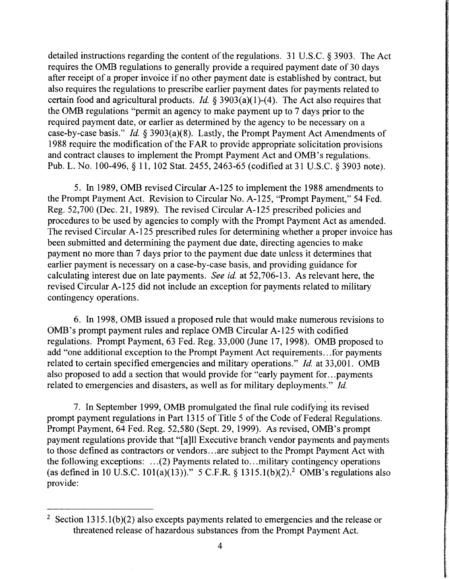detailed instructions regarding the content of the regulations. 31 U.S.C. § 3903. The Act requires the OMB regulations to generally provide a required payment date of 30 days after receipt of a proper invoice if no other payment date is established by contract, but also requires the regulations to prescribe earlier payment dates for payments related to certain food and agricultural products. *Id.* § 3903(a)(l)-(4). The Act also requires that the OMB regulations "permit an agency to make payment up to 7 days prior to the required payment date, or earlier as determined by the agency to be necessary on a case-by-case basis." *Id.* § 3903(a)(8). Lastly, the Prompt Payment Act Amendments of 1988 require the modification of the FAR to provide appropriate solicitation provisions and contract clauses to implement the Prompt Payment Act and OMB's regulations. Pub. L. No. 100-496, § 11, 102 Stat. 2455, 2463-65 (codified at 31 U.S.C. § 3903 note).

5. In 1989, OMB revised Circular A-125 to implement the 1988 amendments to the Prompt Payment Act. Revision to Circular No. A-125, "Prompt Payment," 54 Fed. Reg. 52,700 (Dec. 21, 1989). The revised Circular A-125 prescribed policies and procedures to be used by agencies to comply with the Prompt Payment Act as amended. The revised Circular A-125 prescribed rules for determining whether a proper invoice has been submitted and determining the payment due date, directing agencies to make payment no more than 7 days prior to the payment due date unless it determines that earlier payment is necessary on a case-by-case basis, and providing guidance for calculating interest due on late payments. *See id.* at 52,706-13. As relevant here, the revised Circular A-125 did not include an exception for payments related to military contingency operations.

6. In 1998, OMB issued a proposed rule that would make numerous revisions to OMB's prompt payment rules and replace OMB Circular A-125 with codified regulations. Prompt Payment, 63 Fed. Reg. 33,000 (June 17, 1998). OMB proposed to add "one additional exception to the Prompt Payment Act requirements ... for payments related to certain specified emergencies and military operations." *Id.* at 33,001. OMB also proposed to add a section that would provide for "early payment for ... payments related to emergencies and disasters, as well as for military deployments." *Id.* 

7. In September 1999, OMB promulgated the final rule codifying its revised prompt payment regulations in Part 1315 of Title 5 of the Code of Federal Regulations. Prompt Payment, 64 Fed. Reg. 52,580 (Sept. 29, 1999). As revised, OMB's prompt payment regulations provide that "[a]ll Executive branch vendor payments and payments to those defined as contractors or vendors ... are subject to the Prompt Payment Act with the following exceptions:  $\dots(2)$  Payments related to  $\dots$  military contingency operations (as defined in 10 U.S.C. 101(a)(13))." 5 C.F.R. § 1315.1(b)(2).<sup>2</sup> OMB's regulations also provide:

<sup>&</sup>lt;sup>2</sup> Section 1315.1(b)(2) also excepts payments related to emergencies and the release or threatened release of hazardous substances from the Prompt Payment Act.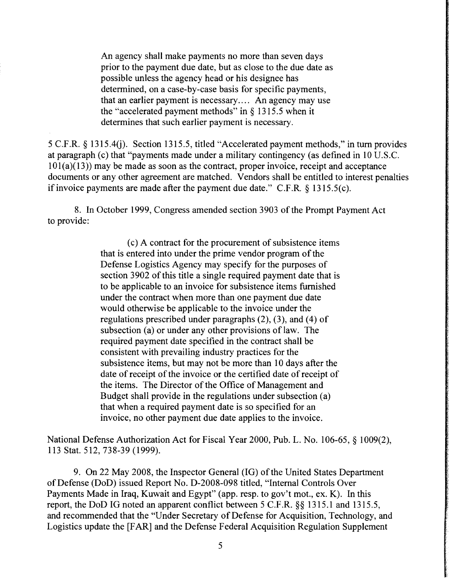An agency shall make payments no more than seven days prior to the payment due date, but as close to the due date as possible unless the agency head or his designee has determined, on a case-by-case basis for specific payments, that an earlier payment is necessary.... An agency may use the "accelerated payment methods" in  $\S$  1315.5 when it determines that such earlier payment is necessary.

5 C.F.R. § 1315.40). Section 1315.5, titled "Accelerated payment methods," in tum provides at paragraph (c) that "payments made under a military contingency (as defined in 10 U.S.C.  $101(a)(13)$ ) may be made as soon as the contract, proper invoice, receipt and acceptance documents or any other agreement are matched. Vendors shall be entitled to interest penalties if invoice payments are made after the payment due date." C.F.R.  $\S$  1315.5(c).

8. In October 1999, Congress amended section 3903 of the Prompt Payment Act to provide:

> ( c) A contract for the procurement of subsistence items that is entered into under the prime vendor program of the Defense Logistics Agency may specify for the purposes of section 3902 of this title a single required payment date that is to be applicable to an invoice for subsistence items furnished under the contract when more than one payment due date would otherwise be applicable to the invoice under the regulations prescribed under paragraphs (2), (3), and (4) of subsection (a) or under any other provisions of law. The required payment date specified in the contract shall be consistent with prevailing industry practices for the subsistence items, but may not be more than 10 days after the date of receipt of the invoice or the certified date of receipt of the items. The Director of the Office of Management and Budget shall provide in the regulations under subsection (a) that when a required payment date is so specified for an invoice, no other payment due date applies to the invoice.

National Defense Authorization Act for Fiscal Year 2000, Pub. L. No. 106-65, § 1009(2), 113 Stat. 512, 738-39 (1999).

9. On 22 May 2008, the Inspector General (IG) of the United States Department of Defense (DoD) issued Report No. D-2008-098 titled, "Internal Controls Over Payments Made in Iraq, Kuwait and Egypt" (app. resp. to gov't mot., ex. K). In this report, the DoD IG noted an apparent conflict between 5 C.F.R. §§ 1315.1 and 1315.5, and recommended that the "Under Secretary of Defense for Acquisition, Technology, and Logistics update the [FAR] and the Defense Federal Acquisition Regulation Supplement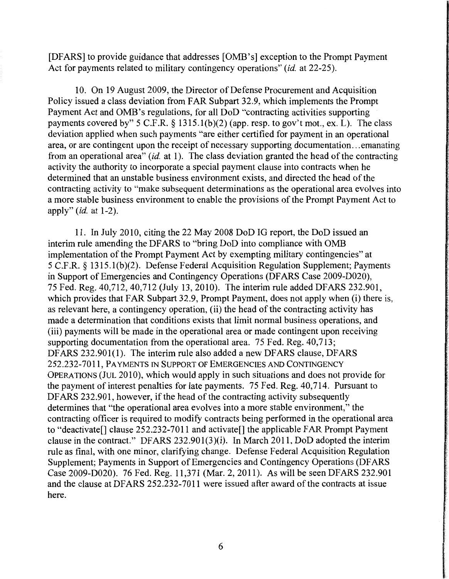[DFARS] to provide guidance that addresses [OMB's] exception to the Prompt Payment Act for payments related to military contingency operations" *(id.* at 22-25).

10. On 19 August 2009, the Director of Defense Procurement and Acquisition Policy issued a class deviation from FAR Subpart 32.9, which implements the Prompt Payment Act and OMB's regulations, for all DoD "contracting activities supporting payments covered by" 5 C.F.R. § 1315.1(b)(2) (app. resp. to gov't mot., ex. L). The class deviation applied when such payments "are either certified for payment in an operational area, or are contingent upon the receipt of necessary supporting documentation ... emanating from an operational area" *(id.* at 1). The class deviation granted the head of the contracting activity the authority to incorporate a special payment clause into contracts when he determined that an unstable business environment exists, and directed the head of the contracting activity to "make subsequent determinations as the operational area evolves into a more stable business environment to enable the provisions of the Prompt Payment Act to apply" *(id.* at 1-2).

11. In July 2010, citing the 22 May 2008 DoD IG report, the DoD issued an interim rule amending the DF ARS to "bring DoD into compliance with OMB implementation of the Prompt Payment Act by exempting military contingencies" at 5 C.F.R. § 1315.l(b)(2). Defense Federal Acquisition Regulation Supplement; Payments in Support of Emergencies and Contingency Operations (DF ARS Case 2009-D020), 75 Fed. Reg. 40,712, 40,712 (July 13, 2010). The interim rule added DFARS 232.901, which provides that FAR Subpart 32.9, Prompt Payment, does not apply when (i) there is, as relevant here, a contingency operation, (ii) the head of the contracting activity has made a determination that conditions exists that limit normal business operations, and (iii) payments will be made in the operational area or made contingent upon receiving supporting documentation from the operational area. 75 Fed. Reg. 40,713; DFARS 232.901(1). The interim rule also added a new DFARS clause, DFARS 252.232-7011, PAYMENTS IN SUPPORT OF EMERGENCIES AND CONTINGENCY OPERATIONS (JUL 2010), which would apply in such situations and does not provide for the payment of interest penalties for late payments. 75 Fed. Reg. 40,714. Pursuant to DFARS 232.901, however, if the head of the contracting activity subsequently determines that "the operational area evolves into a more stable environment," the contracting officer is required to modify contracts being performed in the operational area to "deactivate[] clause 252.232-7011 and activate[] the applicable FAR Prompt Payment clause in the contract." DFARS 232.901(3)(i). In March 2011, DoD adopted the interim rule as final, with one minor, clarifying change. Defense Federal Acquisition Regulation Supplement; Payments in Support of Emergencies and Contingency Operations (DF ARS Case 2009-D020). 76 Fed. Reg. 11,371 (Mar. 2, 2011). As will be seen DFARS 232.901 and the clause at DFARS 252.232-7011 were issued after award of the contracts at issue here.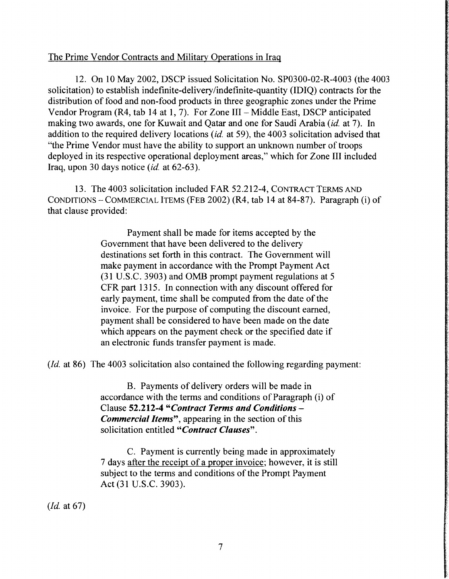# The Prime Vendor Contracts and Military Operations in Iraq

12. On 10 May 2002, DSCP issued Solicitation No. SP0300-02-R-4003 (the 4003 solicitation) to establish indefinite-delivery/indefinite-quantity (IDIQ) contracts for the distribution of food and non-food products in three geographic zones under the Prime Vendor Program (R4, tab 14 at 1, 7). For Zone III - Middle East, DSCP anticipated making two awards, one for Kuwait and Qatar and one for Saudi Arabia *(id.* at 7). In addition to the required delivery locations *(id.* at 59), the 4003 solicitation advised that "the Prime Vendor must have the ability to support an unknown number of troops deployed in its respective operational deployment areas," which for Zone III included Iraq, upon 30 days notice *(id.* at 62-63 ).

13. The 4003 solicitation included FAR 52.212-4, CONTRACT TERMS AND CONDITIONS-COMMERCIAL ITEMS (FEB 2002) (R4, tab 14 at 84-87). Paragraph (i) of that clause provided:

> Payment shall be made for items accepted by the Government that have been delivered to the delivery destinations set forth in this contract. The Government will make payment in accordance with the Prompt Payment Act (31 U.S.C. 3903) and OMB prompt payment regulations at 5 CFR part 1315. In connection with any discount offered for early payment, time shall be computed from the date of the invoice. For the purpose of computing the discount earned, payment shall be considered to have been made on the date which appears on the payment check or the specified date if an electronic funds transfer payment is made.

*(Id.* at 86) The 4003 solicitation also contained the following regarding payment:

B. Payments of delivery orders will be made in accordance with the terms and conditions of Paragraph (i) of Clause 52.212-4 *"Contract Terms and Conditions* - *Commercial Items",* appearing in the section of this solicitation entitled *"Contract Clauses".* 

C. Payment is currently being made in approximately 7 days after the receipt of a proper invoice; however, it is still subject to the terms and conditions of the Prompt Payment Act (31 U.S.C. 3903).

*(Id.* at 67)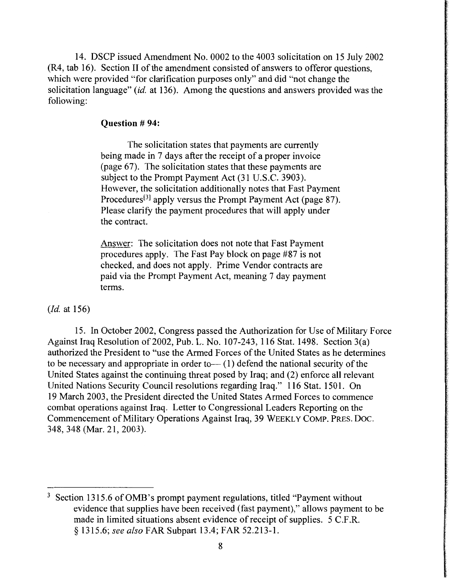14. DSCP issued Amendment No. 0002 to the 4003 solicitation on 15 July 2002 (R4, tab 16). Section II of the amendment consisted of answers to offeror questions, which were provided "for clarification purposes only" and did "not change the solicitation language" *(id.* at 136). Among the questions and answers provided was the following:

#### **Question # 94:**

The solicitation states that payments are currently being made in 7 days after the receipt of a proper invoice (page 67). The solicitation states that these payments are subject to the Prompt Payment Act (31 U.S.C. 3903). However, the solicitation additionally notes that Fast Payment Procedures<sup>[3]</sup> apply versus the Prompt Payment Act (page 87). Please clarify the payment procedures that will apply under the contract.

Answer: The solicitation does not note that Fast Payment procedures apply. The Fast Pay block on page #87 is not checked, and does not apply. Prime Vendor contracts are paid via the Prompt Payment Act, meaning 7 day payment terms.

*(Id.* at 156)

15. In October 2002, Congress passed the Authorization for Use of Military Force Against Iraq Resolution of 2002, Pub. L. No. 107-243, 116 Stat. 1498. Section 3(a) authorized the President to "use the Armed Forces of the United States as he determines to be necessary and appropriate in order to  $-$  (1) defend the national security of the United States against the continuing threat posed by Iraq; and (2) enforce all relevant United Nations Security Council resolutions regarding Iraq." 116 Stat. 1501. On 19 March 2003, the President directed the United States Armed Forces to commence combat operations against Iraq. Letter to Congressional Leaders Reporting on the Commencement of Military Operations Against Iraq, 39 WEEKLY COMP. PRES. Doc. 348, 348 (Mar. 21, 2003).

 $3$  Section 1315.6 of OMB's prompt payment regulations, titled "Payment without" evidence that supplies have been received (fast payment)," allows payment to be made in limited situations absent evidence of receipt of supplies. 5 C.F.R. § 1315.6; *see also* FAR Subpart 13.4; FAR 52.213-1.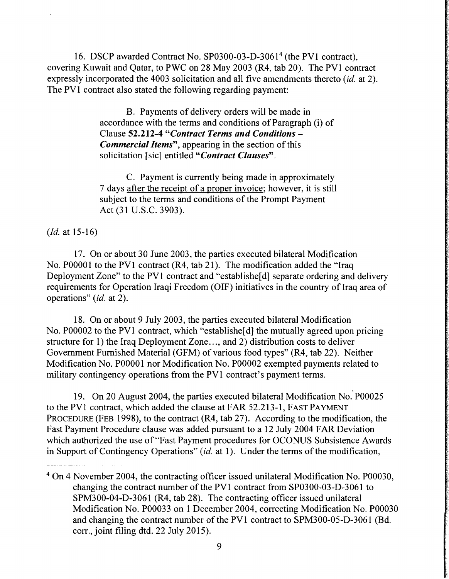16. DSCP awarded Contract No. SP0300-03-D-3061<sup>4</sup> (the PV1 contract), covering Kuwait and Qatar, to PWC on 28 May 2003 (R4, tab 20). The PVI contract expressly incorporated the 4003 solicitation and all five amendments thereto *(id.* at 2). The PV1 contract also stated the following regarding payment:

> B. Payments of delivery orders will be made in accordance with the terms and conditions of Paragraph (i) of Clause 52.212-4 *"Contract Terms and Conditions* - *Commercial Items",* appearing in the section of this solicitation [sic] entitled *"Contract Clauses".*

> C. Payment is currently being made in approximately 7 days after the receipt of a proper invoice; however, it is still subject to the terms and conditions of the Prompt Payment Act (31 U.S.C. 3903).

*(Id.* at 15-16)

17. On or about 30 June 2003, the parties executed bilateral Modification No. P00001 to the PV1 contract (R4, tab 21). The modification added the "Iraq Deployment Zone" to the PV1 contract and "establishe[d] separate ordering and delivery requirements for Operation Iraqi Freedom (OIF) initiatives in the country of Iraq area of operations" *(id.* at 2).

18. On or about 9 July 2003, the parties executed bilateral Modification No. P00002 to the PV1 contract, which "establishe<sup>[d]</sup> the mutually agreed upon pricing structure for 1) the Iraq Deployment Zone ... , and 2) distribution costs to deliver Government Furnished Material (GFM) of various food types" (R4, tab 22). Neither Modification No. P00001 nor Modification No. P00002 exempted payments related to military contingency operations from the PVl contract's payment terms.

19. On 20 August 2004, the parties executed bilateral Modification No. P00025 to the PVl contract, which added the clause at FAR 52.213-1, FAST PAYMENT PROCEDURE (FEB 1998), to the contract (R4, tab 27). According to the modification, the Fast Payment Procedure clause was added pursuant to a 12 July 2004 FAR Deviation which authorized the use of "Fast Payment procedures for OCONUS Subsistence Awards in Support of Contingency Operations" *(id.* at 1). Under the terms of the modification,

<sup>&</sup>lt;sup>4</sup> On 4 November 2004, the contracting officer issued unilateral Modification No. P00030, changing the contract number of the PVl contract from SP0300-03-D-3061 to SPM300-04-D-3061 (R4, tab 28). The contracting officer issued unilateral Modification No. P00033 on 1 December 2004, correcting Modification No. P00030 and changing the contract number of the PVl contract to SPM300-05-D-3061 (Bd. corr., joint filing dtd. 22 July 2015).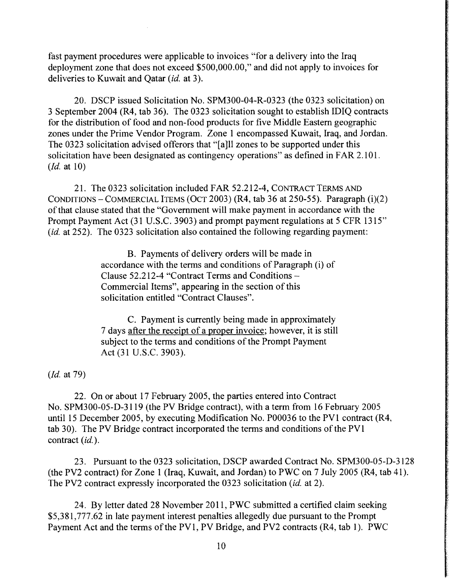fast payment procedures were applicable to invoices "for a delivery into the Iraq deployment zone that does not exceed \$500,000.00," and did not apply to invoices for deliveries to Kuwait and Qatar *(id.* at 3).

20. DSCP issued Solicitation No. SPM300-04-R-0323 (the 0323 solicitation) on 3 September 2004 (R4, tab 36). The 0323 solicitation sought to establish IDIQ contracts for the distribution of food and non-food products for five Middle Eastern geographic zones under the Prime Vendor Program. Zone 1 encompassed Kuwait, Iraq, and Jordan. The 0323 solicitation advised offerors that "[a]ll zones to be supported under this solicitation have been designated as contingency operations" as defined in FAR 2.101. *(Id.* at 10)

21. The 0323 solicitation included FAR 52.212-4, CONTRACT TERMS AND CONDITIONS-COMMERCIAL ITEMS (OCT 2003) (R4, tab 36 at 250-55). Paragraph (i)(2) of that clause stated that the "Government will make payment in accordance with the Prompt Payment Act (31 U.S.C. 3903) and prompt payment regulations at 5 CFR 1315" *(id.* at 252). The 0323 solicitation also contained the following regarding payment:

> B. Payments of delivery orders will be made in accordance with the terms and conditions of Paragraph (i) of Clause 52.212-4 "Contract Terms and Conditions - Commercial Items", appearing in the section of this solicitation entitled "Contract Clauses".

C. Payment is currently being made in approximately 7 days after the receipt of a proper invoice; however, it is still subject to the terms and conditions of the Prompt Payment Act (31 U.S.C. 3903).

*(Id.* at 79)

22. On or about 17 February 2005, the parties entered into Contract No. SPM300-05-D-3119 (the PV Bridge contract), with a term from 16 February 2005 until 15 December 2005, by executing Modification No. P00036 to the PVl contract (R4, tab 30). The PV Bridge contract incorporated the terms and conditions of the PVl contract *(id.).* 

23. Pursuant to the 0323 solicitation, DSCP awarded Contract No. SPM300-05-D-3128 (the PV2 contract) for Zone 1 (Iraq, Kuwait, and Jordan) to PWC on 7 July 2005 (R4, tab 41 ). The PV2 contract expressly incorporated the 0323 solicitation *(id.* at 2).

24. By letter dated 28 November 2011, PWC submitted a certified claim seeking \$5,381,777.62 in late payment interest penalties allegedly due pursuant to the Prompt Payment Act and the terms of the PVl, PV Bridge, and PV2 contracts (R4, tab 1). PWC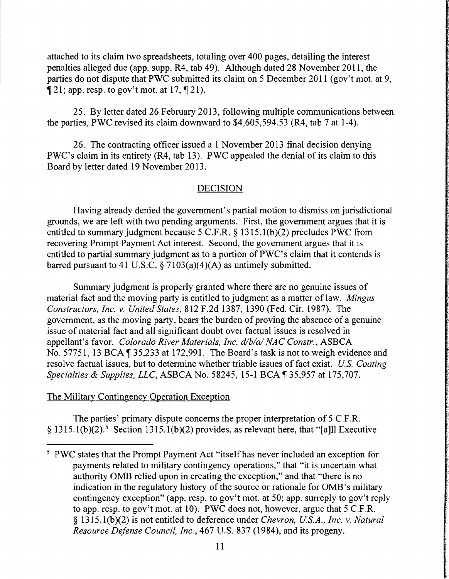attached to its claim two spreadsheets, totaling over 400 pages, detailing the interest penalties alleged due (app. supp. R4, tab 49). Although dated 28 November 2011, the parties do not dispute that PWC submitted its claim on 5 December 2011 (gov't mot. at 9,  $\llbracket 21$ ; app. resp. to gov't mot. at 17,  $\llbracket 21$ ).

25. By letter dated 26 February 2013, following multiple communications between the parties, PWC revised its claim downward to \$4,605,594.53 (R4, tab 7 at 1-4).

26. The contracting officer issued a 1 November 2013 final decision denying PWC's claim in its entirety (R4, tab 13). PWC appealed the denial of its claim to this Board by letter dated 19 November 2013.

# DECISION

Having already denied the government's partial motion to dismiss on jurisdictional grounds, we are left with two pending arguments. First, the government argues that it is entitled to summary judgment because 5 C.F.R. § 1315.l(b)(2) precludes PWC from recovering Prompt Payment Act interest. Second, the government argues that it is entitled to partial summary judgment as to a portion of PWC's claim that it contends is barred pursuant to 41 U.S.C.  $\S$  7103(a)(4)(A) as untimely submitted.

Summary judgment is properly granted where there are no genuine issues of material fact and the moving party is entitled to judgment as a matter of law. *Mingus Constructors, Inc. v. United States,* 812 F.2d 1387, 1390 (Fed. Cir. 1987). The government, as the moving party, bears the burden of proving the absence of a genuine issue of material fact and all significant doubt over factual issues is resolved in appellant's favor. *Colorado River Materials, Inc. d/b/a/ NAC Constr.,* ASBCA No. 57751, 13 BCA  $\parallel$  35,233 at 172,991. The Board's task is not to weigh evidence and resolve factual issues, but to determine whether triable issues of fact exist. *US. Coating Specialties & Supplies, LLC, ASBCA No.* 58245, 15-1 BCA ¶ 35,957 at 175,707.

# The Military Contingency Operation Exception

The parties' primary dispute concerns the proper interpretation of 5 C.F.R.  $§$  1315.1(b)(2).<sup>5</sup> Section 1315.1(b)(2) provides, as relevant here, that "[a] Executive

<sup>&</sup>lt;sup>5</sup> PWC states that the Prompt Payment Act "itself has never included an exception for payments related to military contingency operations," that "it is uncertain what authority OMB relied upon in creating the exception," and that "there is no indication in the regulatory history of the source or rationale for OMB's military contingency exception" (app. resp. to gov't mot. at 50; app. surreply to gov't reply to app. resp. to gov't mot. at 10). PWC does not, however, argue that 5 C.F.R. § 1315.l(b)(2) is not entitled to deference under *Chevron, US.A., Inc. v. Natural Resource Defense Council, Inc.,* 467 U.S. 837 (1984), and its progeny.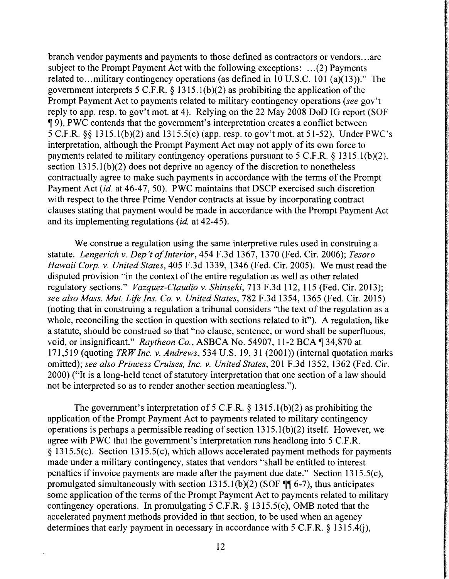branch vendor payments and payments to those defined as contractors or vendors ... are subject to the Prompt Payment Act with the following exceptions: ... (2) Payments related to... military contingency operations (as defined in  $10$  U.S.C. 101 (a)(13))." The government interprets 5 C.F.R. § 1315.l(b)(2) as prohibiting the application of the Prompt Payment Act to payments related to military contingency operations *(see* gov't reply to app. resp. to gov't mot. at 4 ). Relying on the 22 May 2008 DoD IG report (SOF <sup>~</sup>9), PWC contends that the government's interpretation creates a conflict between 5 C.F.R. §§ 1315.l(b)(2) and 1315.5(c) (app. resp. to gov't mot. at 51-52). Under PWC's interpretation, although the Prompt Payment Act may not apply of its own force to payments related to military contingency operations pursuant to 5 C.F.R. § 1315. l(b)(2), section  $1315.1(b)(2)$  does not deprive an agency of the discretion to nonetheless contractually agree to make such payments in accordance with the terms of the Prompt Payment Act *(id. at 46-47, 50).* PWC maintains that DSCP exercised such discretion with respect to the three Prime Vendor contracts at issue by incorporating contract clauses stating that payment would be made in accordance with the Prompt Payment Act and its implementing regulations *(id.* at 42-45).

We construe a regulation using the same interpretive rules used in construing a statute. *Lengerich v. Dep 't of Interior,* 454 F.3d 1367, 1370 (Fed. Cir. 2006); *Tesoro Hawaii Corp. v. United States,* 405 F.3d 1339, 1346 (Fed. Cir. 2005). We must read the disputed provision "in the context of the entire regulation as well as other related regulatory sections." *Vazquez-Claudio v. Shinseki,* 713 F.3d 112, 115 (Fed. Cir. 2013); *see also Mass. Mut. Life Ins. Co. v. United States,* 782 F.3d 1354, 1365 (Fed. Cir. 2015) (noting that in construing a regulation a tribunal considers "the text of the regulation as a whole, reconciling the section in question with sections related to it"). A regulation, like a statute, should be construed so that "no clause, sentence, or word shall be superfluous, void, or insignificant." *Raytheon Co.*, ASBCA No. 54907, 11-2 BCA ¶ 34,870 at 171,519 (quoting *TRW Inc. v. Andrews,* 534 U.S. 19, 31 (2001)) (internal quotation marks omitted); *see also Princess Cruises, Inc. v. United States,* 201F.3d1352, 1362 (Fed. Cir. 2000) ("It is a long-held tenet of statutory interpretation that one section of a law should not be interpreted so as to render another section meaningless.").

The government's interpretation of 5 C.F.R.  $\S$  1315.1(b)(2) as prohibiting the application of the Prompt Payment Act to payments related to military contingency operations is perhaps a permissible reading of section  $1315.1(b)(2)$  itself. However, we agree with PWC that the government's interpretation runs headlong into 5 C.F.R. § 1315.5(c). Section 1315.5(c), which allows accelerated payment methods for payments made under a military contingency, states that vendors "shall be entitled to interest penalties if invoice payments are made after the payment due date." Section 1315.5(c), promulgated simultaneously with section  $1315.1(b)(2)$  (SOF ¶¶ 6-7), thus anticipates some application of the terms of the Prompt Payment Act to payments related to military contingency operations. In promulgating 5 C.F.R. § 1315.5(c), OMB noted that the accelerated payment methods provided in that section, to be used when an agency determines that early payment in necessary in accordance with 5 C.F.R. § 1315.4(j),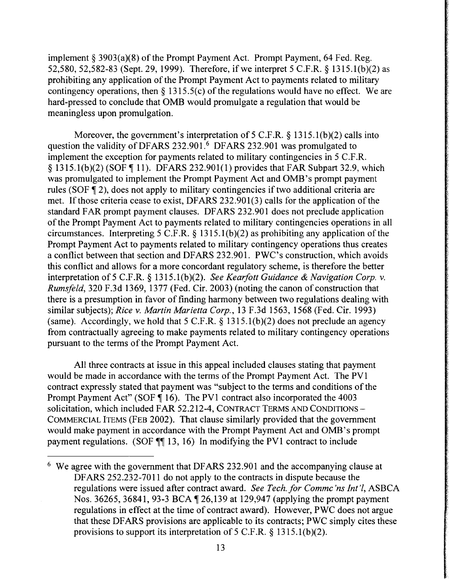implement§ 3903(a)(8) of the Prompt Payment Act. Prompt Payment, 64 Fed. Reg. 52,580, 52,582-83 (Sept. 29, 1999). Therefore, if we interpret 5 C.F.R. § 1315. l(b )(2) as prohibiting any application of the Prompt Payment Act to payments related to military contingency operations, then  $\S$  1315.5(c) of the regulations would have no effect. We are hard-pressed to conclude that OMB would promulgate a regulation that would be meaningless upon promulgation.

Moreover, the government's interpretation of  $5$  C.F.R. § 1315.1(b)(2) calls into question the validity of DFARS 232.901.<sup>6</sup> DFARS 232.901 was promulgated to implement the exception for payments related to military contingencies in 5 C.F .R.  $\S$  1315.1(b)(2) (SOF  $\P$  11). DFARS 232.901(1) provides that FAR Subpart 32.9, which was promulgated to implement the Prompt Payment Act and OMB's prompt payment rules (SOF  $\overline{q}$  2), does not apply to military contingencies if two additional criteria are met. If those criteria cease to exist, DFARS 232.901(3) calls for the application of the standard FAR prompt payment clauses. DFARS 232.901 does not preclude application of the Prompt Payment Act to payments related to military contingencies operations in all circumstances. Interpreting 5 C.F.R. § 1315.l(b)(2) as prohibiting any application of the Prompt Payment Act to payments related to military contingency operations thus creates a conflict between that section and DFARS 232.901. PWC's construction, which avoids this conflict and allows for a more concordant regulatory scheme, is therefore the better interpretation of5 C.F.R. § 1315.l(b)(2). *See Kearfott Guidance* & *Navigation Corp. v. Rumsfeld,* 320 F.3d 1369, 1377 (Fed. Cir. 2003) (noting the canon of construction that there is a presumption in favor of finding harmony between two regulations dealing with similar subjects); *Rice v. Martin Marietta Corp.,* 13 F.3d 1563, 1568 (Fed. Cir. 1993) (same). Accordingly, we hold that  $5$  C.F.R. § 1315.1(b)(2) does not preclude an agency from contractually agreeing to make payments related to military contingency operations pursuant to the terms of the Prompt Payment Act.

All three contracts at issue in this appeal included clauses stating that payment would be made in accordance with the terms of the Prompt Payment Act. The PV 1 contract expressly stated that payment was "subject to the terms and conditions of the Prompt Payment Act" (SOF  $\P$  16). The PV1 contract also incorporated the 4003 solicitation, which included FAR 52.212-4, CONTRACT TERMS AND CONDITIONS -COMMERCIAL ITEMS (FEB 2002). That clause similarly provided that the government would make payment in accordance with the Prompt Payment Act and OMB's prompt payment regulations. (SOF  $\P$  13, 16) In modifying the PV1 contract to include

<sup>6</sup> We agree with the government that DFARS 232.901 and the accompanying clause at DFARS 252.232-7011 do not apply to the contracts in dispute because the regulations were issued after contract award. *See Tech. for Commc 'ns Int' l,* ASBCA Nos. 36265, 36841, 93-3 BCA ¶ 26,139 at 129,947 (applying the prompt payment regulations in effect at the time of contract award). However, PWC does not argue that these DF ARS provisions are applicable to its contracts; PWC simply cites these provisions to support its interpretation of 5 C.F.R.  $\S$  1315.1(b)(2).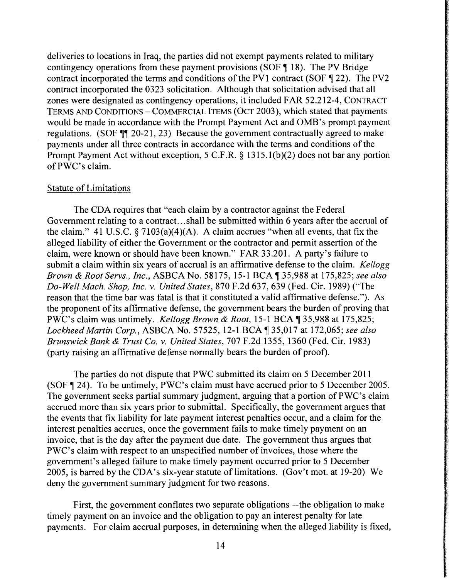deliveries to locations in Iraq, the parties did not exempt payments related to military contingency operations from these payment provisions (SOF  $\P$  18). The PV Bridge contract incorporated the terms and conditions of the PV1 contract (SOF  $\P$  22). The PV2 contract incorporated the 0323 solicitation. Although that solicitation advised that all zones were designated as contingency operations, it included FAR 52.212-4, CONTRACT TERMS AND CONDITIONS - COMMERCIAL ITEMS (OCT 2003 ), which stated that payments would be made in accordance with the Prompt Payment Act and OMB's prompt payment regulations. (SOF  $\P$  $[20-21, 23)$  Because the government contractually agreed to make payments under all three contracts in accordance with the terms and conditions of the Prompt Payment Act without exception, 5 C.F.R. § 1315.l(b)(2) does not bar any portion of PWC's claim.

## Statute of Limitations

The CDA requires that "each claim by a contractor against the Federal Government relating to a contract. .. shall be submitted within 6 years after the accrual of the claim." 41 U.S.C.  $\frac{5}{7103(a)(4)(A)}$ . A claim accrues "when all events, that fix the alleged liability of either the Government or the contractor and permit assertion of the claim, were known or should have been known." FAR 33.201. A party's failure to submit a claim within six years of accrual is an affirmative defense to the claim. *Kellogg Brown & Root Servs., Inc., ASBCA No.* 58175, 15-1 BCA ¶ 35,988 at 175,825; *see also Do-Well Mach. Shop, Inc. v. United States,* 870 F.2d 637, 639 (Fed. Cir. 1989) ("The reason that the time bar was fatal is that it constituted a valid affirmative defense."). As the proponent of its affirmative defense, the government bears the burden of proving that PWC's claim was untimely. *Kellogg Brown & Root*, 15-1 BCA ¶ 35,988 at 175,825; *Lockheed Martin Corp., ASBCA No. 57525, 12-1 BCA* 135,017 at 172,065; *see also Brunswick Bank* & *Trust Co. v. United States,* 707 F.2d 1355, 1360 (Fed. Cir. 1983) (party raising an affirmative defense normally bears the burden of proof).

The parties do not dispute that PWC submitted its claim on 5 December 2011 (SOF  $\P$  24). To be untimely, PWC's claim must have accrued prior to 5 December 2005. The government seeks partial summary judgment, arguing that a portion of PWC's claim accrued more than six years prior to submittal. Specifically, the government argues that the events that fix liability for late payment interest penalties occur, and a claim for the interest penalties accrues, once the government fails to make timely payment on an invoice, that is the day after the payment due date. The government thus argues that PWC's claim with respect to an unspecified number of invoices, those where the government's alleged failure to make timely payment occurred prior to 5 December 2005, is barred by the CDA's six-year statute of limitations. (Gov't mot. at 19-20) We deny the government summary judgment for two reasons.

First, the government conflates two separate obligations—the obligation to make timely payment on an invoice and the obligation to pay an interest penalty for late payments. For claim accrual purposes, in determining when the alleged liability is fixed,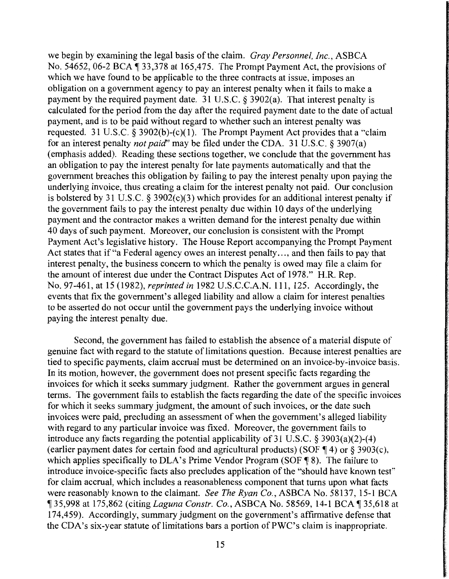we begin by examining the legal basis of the claim. *Gray Personnel, Inc.,* ASBCA No. 54652, 06-2 BCA  $\P$  33,378 at 165,475. The Prompt Payment Act, the provisions of which we have found to be applicable to the three contracts at issue, imposes an obligation on a government agency to pay an interest penalty when it fails to make a payment by the required payment date. 31 U.S.C. § 3902(a). That interest penalty is calculated for the period from the day after the required payment date to the date of actual payment, and is to be paid without regard to whether such an interest penalty was requested. 31 U.S.C.  $\delta$  3902(b)-(c)(1). The Prompt Payment Act provides that a "claim" for an interest penalty *not paid"* may be filed under the CDA. 31 U.S.C. § 3907(a) (emphasis added). Reading these sections together, we conclude that the government has an obligation to pay the interest penalty for late payments automatically and that the government breaches this obligation by failing to pay the interest penalty upon paying the underlying invoice, thus creating a claim for the interest penalty not paid. Our conclusion is bolstered by 31 U.S.C. § 3902(c)(3) which provides for an additional interest penalty if the government fails to pay the interest penalty due within 10 days of the underlying payment and the contractor makes a written demand for the interest penalty due within 40 days of such payment. Moreover, our conclusion is consistent with the Prompt Payment Act's legislative history. The House Report accompanying the Prompt Payment Act states that if "a Federal agency owes an interest penalty..., and then fails to pay that interest penalty, the business concern to which the penalty is owed may file a claim for the amount of interest due under the Contract Disputes Act of 1978." H.R. Rep. No. 97-461, at 15 (1982), *reprinted in* 1982 U.S.C.C.A.N. 111, 125. Accordingly, the events that fix the government's alleged liability and allow a claim for interest penalties to be asserted do not occur until the government pays the underlying invoice without paying the interest penalty due.

Second, the government has failed to establish the absence of a material dispute of genuine fact with regard to the statute of limitations question. Because interest penalties are tied to specific payments, claim accrual must be determined on an invoice-by-invoice basis. In its motion, however, the government does not present specific facts regarding the invoices for which it seeks summary judgment. Rather the government argues in general terms. The government fails to establish the facts regarding the date of the specific invoices for which it seeks summary judgment, the amount of such invoices, or the date such invoices were paid, precluding an assessment of when the government's alleged liability with regard to any particular invoice was fixed. Moreover, the government fails to introduce any facts regarding the potential applicability of 31 U.S.C. § 3903(a)(2)-(4) (earlier payment dates for certain food and agricultural products) (SOF  $\P$  4) or § 3903(c), which applies specifically to DLA's Prime Vendor Program (SOF  $\P$  8). The failure to introduce invoice-specific facts also precludes application of the "should have known test" for claim accrual, which includes a reasonableness component that turns upon what facts were reasonably known to the claimant. *See The Ryan Co.,* ASBCA No. 58137, 15-1 BCA ¶ 35,998 at 175,862 (citing *Laguna Constr. Co.*, ASBCA No. 58569, 14-1 BCA ¶ 35,618 at 174,459). Accordingly, summary judgment on the government's affirmative defense that the CDA's six-year statute of limitations bars a portion of PWC's claim is inappropriate.